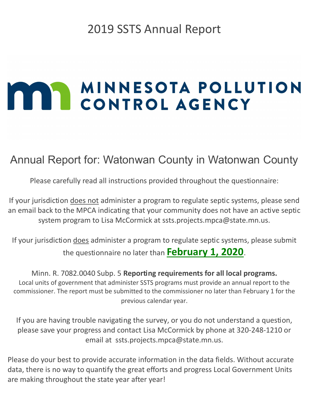# 2019 SSTS Annual Report

# **MAN MINNESOTA POLLUTION**

# Annual Report for: Watonwan County in Watonwan County

Please carefully read all instructions provided throughout the questionnaire:

If your jurisdiction does not administer a program to regulate septic systems, please send an email back to the MPCA indicating that your community does not have an active septic system program to Lisa McCormick at ssts.projects.mpca@state.mn.us.

If your jurisdiction does administer a program to regulate septic systems, please submit the questionnaire no later than February 1, 2020.

Minn. R. 7082.0040 Subp. 5 Reporting requirements for all local programs. Local units of government that administer SSTS programs must provide an annual report to the commissioner. The report must be submitted to the commissioner no later than February 1 for the previous calendar year.

If you are having trouble navigating the survey, or you do not understand a question, please save your progress and contact Lisa McCormick by phone at 320-248-1210 or email at ssts.projects.mpca@state.mn.us.

Please do your best to provide accurate information in the data fields. Without accurate data, there is no way to quantify the great efforts and progress Local Government Units are making throughout the state year after year!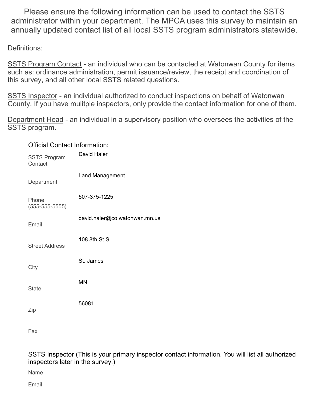Please ensure the following information can be used to contact the SSTS administrator within your department. The MPCA uses this survey to maintain an annually updated contact list of all local SSTS program administrators statewide.

Definitions:

SSTS Program Contact - an individual who can be contacted at Watonwan County for items such as: ordinance administration, permit issuance/review, the receipt and coordination of this survey, and all other local SSTS related questions.

SSTS Inspector - an individual authorized to conduct inspections on behalf of Watonwan County. If you have mulitple inspectors, only provide the contact information for one of them.

Department Head - an individual in a supervisory position who oversees the activities of the SSTS program.

#### Official Contact Information:

| <b>SSTS Program</b><br>Contact | David Haler                   |
|--------------------------------|-------------------------------|
| Department                     | <b>Land Management</b>        |
| Phone<br>$(555 - 555 - 5555)$  | 507-375-1225                  |
| Email                          | david.haler@co.watonwan.mn.us |
| <b>Street Address</b>          | 108 8th St S                  |
| City                           | St. James                     |
| <b>State</b>                   | <b>MN</b>                     |
| Zip                            | 56081                         |
|                                |                               |

Fax

SSTS Inspector (This is your primary inspector contact information. You will list all authorized inspectors later in the survey.)

Name

Email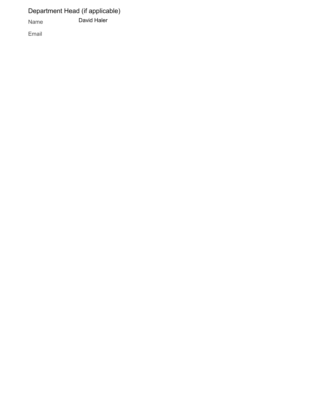Department Head (if applicable)

Name David Haler

Email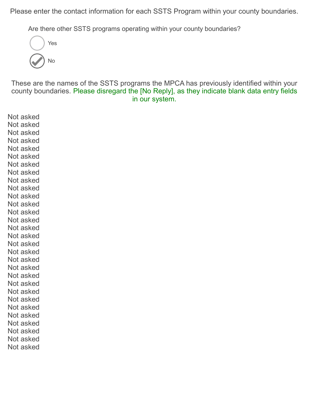Please enter the contact information for each SSTS Program within your county boundaries.

Are there other SSTS programs operating within your county boundaries?



These are the names of the SSTS programs the MPCA has previously identified within your county boundaries. Please disregard the [No Reply], as they indicate blank data entry fields in our system.

Not asked Not asked Not asked Not asked Not asked Not asked Not asked Not asked Not asked Not asked Not asked Not asked Not asked Not asked Not asked Not asked Not asked Not asked Not asked Not asked Not asked Not asked Not asked Not asked Not asked Not asked Not asked Not asked Not asked Not asked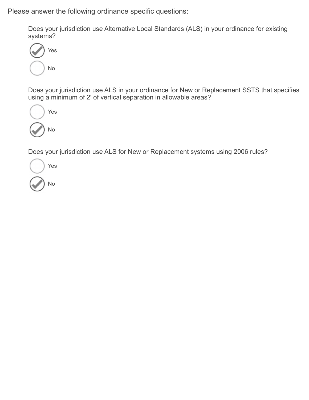Please answer the following ordinance specific questions:

Does your jurisdiction use Alternative Local Standards (ALS) in your ordinance for existing systems?



Does your jurisdiction use ALS in your ordinance for New or Replacement SSTS that specifies using a minimum of 2' of vertical separation in allowable areas?



Does your jurisdiction use ALS for New or Replacement systems using 2006 rules?

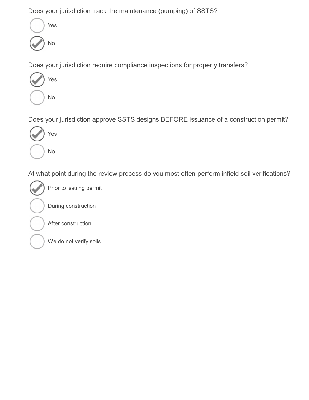Does your jurisdiction track the maintenance (pumping) of SSTS?



Does your jurisdiction require compliance inspections for property transfers?



Does your jurisdiction approve SSTS designs BEFORE issuance of a construction permit?



At what point during the review process do you most often perform infield soil verifications?



Prior to issuing permit

During construction

After construction

We do not verify soils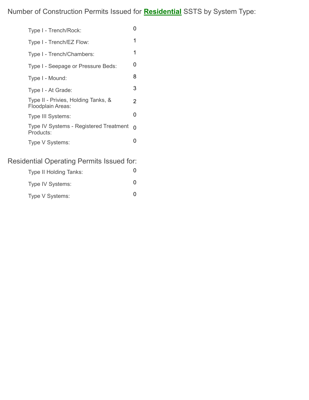Number of Construction Permits Issued for **Residential** SSTS by System Type:

| Type I - Trench/Rock:                                      | 0 |
|------------------------------------------------------------|---|
| Type I - Trench/EZ Flow:                                   | 1 |
| Type I - Trench/Chambers:                                  | 1 |
| Type I - Seepage or Pressure Beds:                         | O |
| Type I - Mound:                                            | 8 |
| Type I - At Grade:                                         | 3 |
| Type II - Privies, Holding Tanks, &<br>Floodplain Areas:   | 2 |
| Type III Systems:                                          | O |
| <b>Type IV Systems - Registered Treatment</b><br>Products: | O |
| Type V Systems:                                            |   |
|                                                            |   |

## Residential Operating Permits Issued for:

| <b>Type II Holding Tanks:</b> |  |
|-------------------------------|--|
| Type IV Systems:              |  |
| Type V Systems:               |  |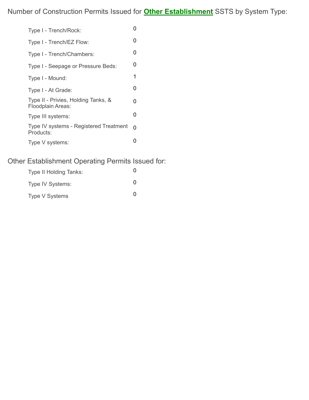| Type I - Trench/Rock:                                    | ი |
|----------------------------------------------------------|---|
| Type I - Trench/EZ Flow:                                 | 0 |
| Type I - Trench/Chambers:                                | 0 |
| Type I - Seepage or Pressure Beds:                       | 0 |
| Type I - Mound:                                          | 1 |
| Type I - At Grade:                                       | 0 |
| Type II - Privies, Holding Tanks, &<br>Floodplain Areas: | 0 |
| Type III systems:                                        | 0 |
| Type IV systems - Registered Treatment<br>Products:      | 0 |
| Type V systems:                                          | O |

### Other Establishment Operating Permits Issued for:

| <b>Type II Holding Tanks:</b> | $\mathbf{\Omega}$ |
|-------------------------------|-------------------|
| Type IV Systems:              | O                 |
| Type V Systems                | O                 |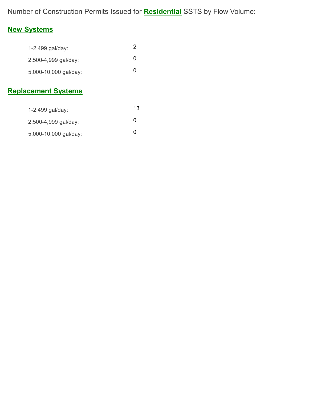Number of Construction Permits Issued for **Residential** SSTS by Flow Volume:

### New Systems

| 1-2,499 gal/day:      |   |
|-----------------------|---|
| 2,500-4,999 gal/day:  | 0 |
| 5,000-10,000 gal/day: | 0 |
|                       |   |

## Replacement Systems

| 1-2,499 gal/day:      | 13.          |
|-----------------------|--------------|
| 2,500-4,999 gal/day:  | $\mathbf{0}$ |
| 5,000-10,000 gal/day: | O            |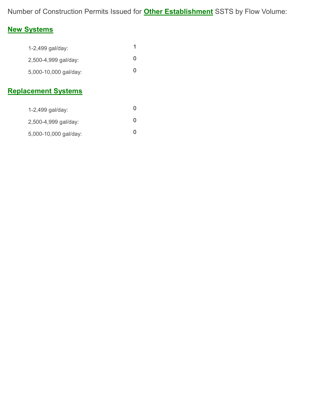Number of Construction Permits Issued for **Other Establishment** SSTS by Flow Volume:

## New Systems

| 1-2,499 gal/day:      |   |
|-----------------------|---|
| 2,500-4,999 gal/day:  | 0 |
| 5,000-10,000 gal/day: | O |

## Replacement Systems

| 1-2,499 gal/day:      | 0 |
|-----------------------|---|
| 2,500-4,999 gal/day:  | O |
| 5,000-10,000 gal/day: | O |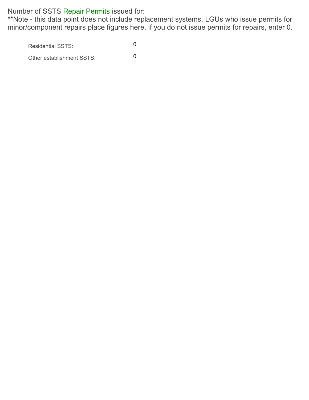Number of SSTS Repair Permits issued for:

\*\*Note - this data point does not include replacement systems. LGUs who issue permits for minor/component repairs place figures here, if you do not issue permits for repairs, enter 0.

Residential SSTS: 0

Other establishment SSTS: 0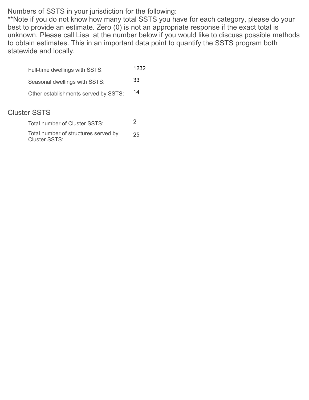Numbers of SSTS in your jurisdiction for the following:

\*\*Note if you do not know how many total SSTS you have for each category, please do your best to provide an estimate. Zero  $(0)$  is not an appropriate response if the exact total is unknown. Please call Lisa at the number below if you would like to discuss possible methods to obtain estimates. This in an important data point to quantify the SSTS program both statewide and locally.

|                     | Full-time dwellings with SSTS:                        | 1232 |
|---------------------|-------------------------------------------------------|------|
|                     | Seasonal dwellings with SSTS:                         | 33   |
|                     | Other establishments served by SSTS:                  | 14   |
| <b>Cluster SSTS</b> |                                                       |      |
|                     | Total number of Cluster SSTS:                         | 2    |
|                     | Total number of structures served by<br>Cluster SSTS: | 25   |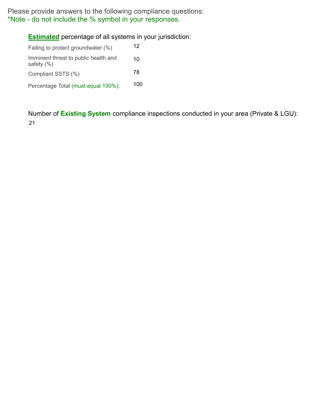Please provide answers to the following compliance questions: \*Note - do not include the % symbol in your responses.

#### **Estimated** percentage of all systems in your jurisdiction:

| Failing to protect groundwater (%)                     | 12  |
|--------------------------------------------------------|-----|
| Imminent threat to public health and<br>safety $(\% )$ | 10  |
| Compliant SSTS (%)                                     | 78  |
| Percentage Total (must equal 100%):                    | 100 |

Number of Existing System compliance inspections conducted in your area (Private & LGU): 21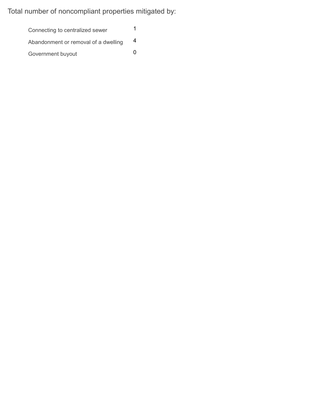Total number of noncompliant properties mitigated by:

Connecting to centralized sewer 1 Abandonment or removal of a dwelling 4 Government buyout 0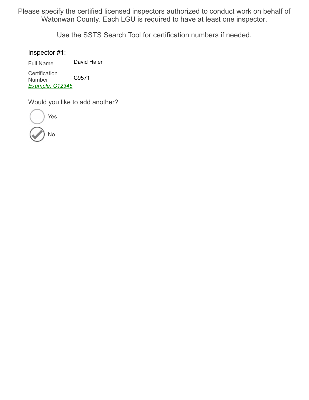Please specify the certified licensed inspectors authorized to conduct work on behalf of Watonwan County. Each LGU is required to have at least one inspector.

Use the SSTS Search Tool for certification numbers if needed.

Inspector #1:

Full Name David Haler

**Certification** Number Example: C12345 C9571

Would you like to add another?

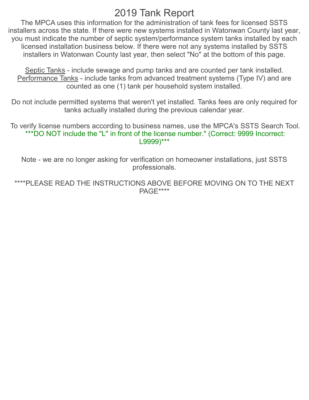# 2019 Tank Report

The MPCA uses this information for the administration of tank fees for licensed SSTS installers across the state. If there were new systems installed in Watonwan County last year, you must indicate the number of septic system/performance system tanks installed by each licensed installation business below. If there were not any systems installed by SSTS installers in Watonwan County last year, then select "No" at the bottom of this page.

Septic Tanks - include sewage and pump tanks and are counted per tank installed. Performance Tanks - include tanks from advanced treatment systems (Type IV) and are counted as one (1) tank per household system installed.

Do not include permitted systems that weren't yet installed. Tanks fees are only required for tanks actually installed during the previous calendar year.

 To verify license numbers according to business names, use the MPCA's SSTS Search Tool. \*\*\*DO NOT include the "L" in front of the license number." (Correct: 9999 Incorrect: L9999)\*\*\*

Note - we are no longer asking for verification on homeowner installations, just SSTS professionals.

\*\*\*\*PLEASE READ THE INSTRUCTIONS ABOVE BEFORE MOVING ON TO THE NEXT PAGE\*\*\*\*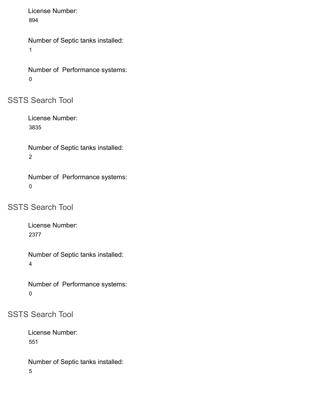License Number: 894

Number of Septic tanks installed: 1

```
Number of Performance systems: 
0
```
SSTS Search Tool

License Number: 3835

Number of Septic tanks installed: 2

Number of Performance systems: 0

SSTS Search Tool

License Number: 2377

Number of Septic tanks installed: 4

Number of Performance systems: 0

SSTS Search Tool

License Number: 551

Number of Septic tanks installed: 5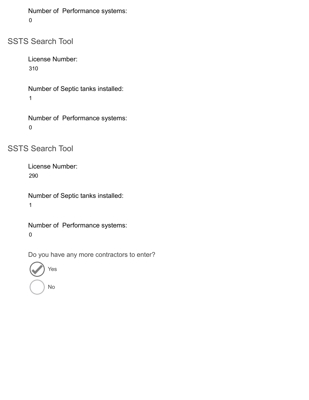```
Number of Performance systems: 
0
```
SSTS Search Tool

License Number: 310

Number of Septic tanks installed: 1

Number of Performance systems: 0

SSTS Search Tool

License Number: 290

Number of Septic tanks installed: 1

Number of Performance systems: 0

Do you have any more contractors to enter?

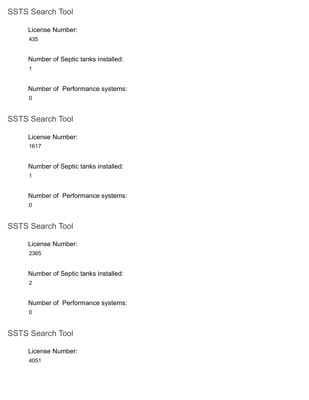#### SSTS Search Tool

License Number: 435

Number of Septic tanks installed: 1

Number of Performance systems: 0

SSTS Search Tool

License Number: 1617

Number of Septic tanks installed: 1

Number of Performance systems: 0

SSTS Search Tool

License Number: 2365

Number of Septic tanks installed: 2

Number of Performance systems: 0

SSTS Search Tool

License Number: 4051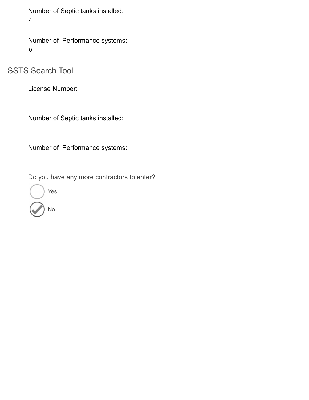Number of Septic tanks installed:

4

Number of Performance systems: 0

SSTS Search Tool

License Number:

Number of Septic tanks installed:

Number of Performance systems:

Do you have any more contractors to enter?